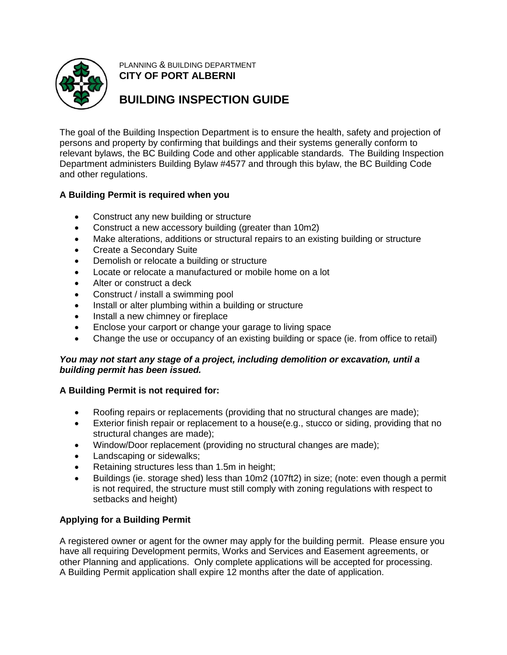

PLANNING & BUILDING DEPARTMENT **CITY OF PORT ALBERNI**

# **BUILDING INSPECTION GUIDE**

The goal of the Building Inspection Department is to ensure the health, safety and projection of persons and property by confirming that buildings and their systems generally conform to relevant bylaws, the BC Building Code and other applicable standards. The Building Inspection Department administers Building Bylaw #4577 and through this bylaw, the BC Building Code and other regulations.

## **A Building Permit is required when you**

- Construct any new building or structure
- Construct a new accessory building (greater than 10m2)
- Make alterations, additions or structural repairs to an existing building or structure
- Create a Secondary Suite
- Demolish or relocate a building or structure
- Locate or relocate a manufactured or mobile home on a lot
- Alter or construct a deck
- Construct / install a swimming pool
- Install or alter plumbing within a building or structure
- Install a new chimney or fireplace
- Enclose your carport or change your garage to living space
- Change the use or occupancy of an existing building or space (ie. from office to retail)

## *You may not start any stage of a project, including demolition or excavation, until a building permit has been issued.*

## **A Building Permit is not required for:**

- Roofing repairs or replacements (providing that no structural changes are made);
- Exterior finish repair or replacement to a house(e.g., stucco or siding, providing that no structural changes are made);
- Window/Door replacement (providing no structural changes are made);
- Landscaping or sidewalks;
- Retaining structures less than 1.5m in height;
- Buildings (ie. storage shed) less than 10m2 (107ft2) in size; (note: even though a permit is not required, the structure must still comply with zoning regulations with respect to setbacks and height)

# **Applying for a Building Permit**

A registered owner or agent for the owner may apply for the building permit. Please ensure you have all requiring Development permits, Works and Services and Easement agreements, or other Planning and applications. Only complete applications will be accepted for processing. A Building Permit application shall expire 12 months after the date of application.